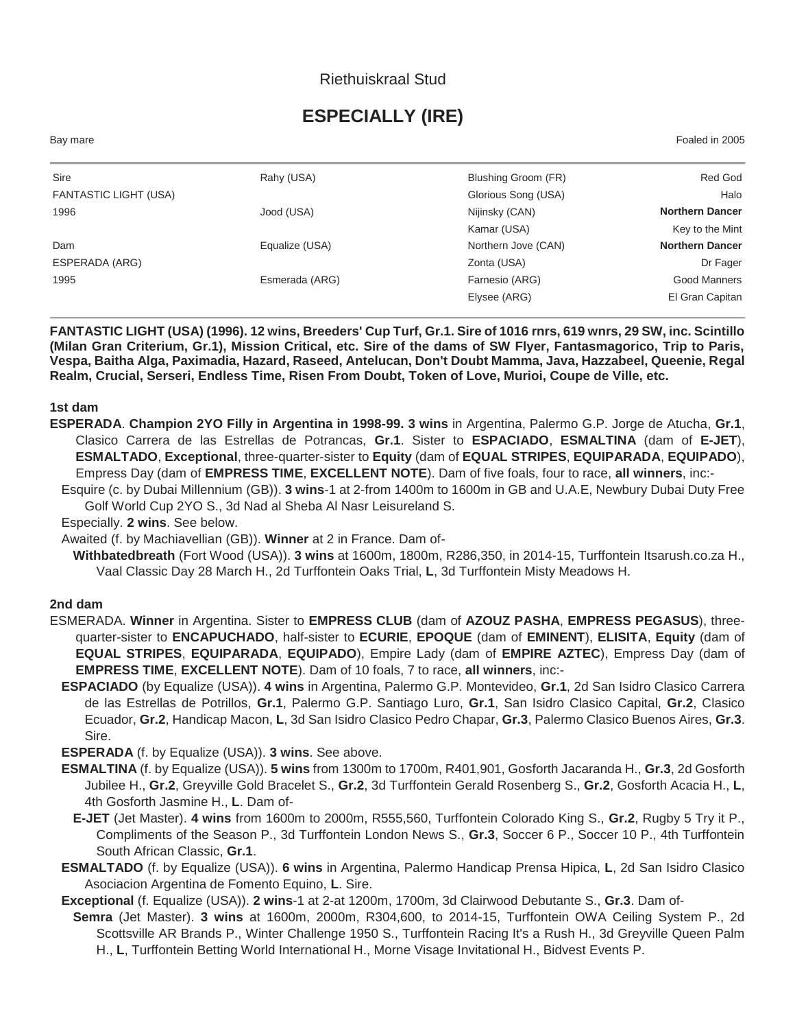## Riethuiskraal Stud

# **ESPECIALLY (IRE)**

Bay mare Foaled in 2005

| Sire                         | Rahy (USA)     | Blushing Groom (FR) | Red God                |
|------------------------------|----------------|---------------------|------------------------|
| <b>FANTASTIC LIGHT (USA)</b> |                | Glorious Song (USA) | Halo                   |
| 1996                         | Jood (USA)     | Nijinsky (CAN)      | <b>Northern Dancer</b> |
|                              |                | Kamar (USA)         | Key to the Mint        |
| Dam                          | Equalize (USA) | Northern Jove (CAN) | <b>Northern Dancer</b> |
| ESPERADA (ARG)               |                | Zonta (USA)         | Dr Fager               |
| 1995                         | Esmerada (ARG) | Farnesio (ARG)      | Good Manners           |
|                              |                | Elysee (ARG)        | El Gran Capitan        |
|                              |                |                     |                        |

**FANTASTIC LIGHT (USA) (1996). 12 wins, Breeders' Cup Turf, Gr.1. Sire of 1016 rnrs, 619 wnrs, 29 SW, inc. Scintillo (Milan Gran Criterium, Gr.1), Mission Critical, etc. Sire of the dams of SW Flyer, Fantasmagorico, Trip to Paris, Vespa, Baitha Alga, Paximadia, Hazard, Raseed, Antelucan, Don't Doubt Mamma, Java, Hazzabeel, Queenie, Regal Realm, Crucial, Serseri, Endless Time, Risen From Doubt, Token of Love, Murioi, Coupe de Ville, etc.**

#### **1st dam**

**ESPERADA**. **Champion 2YO Filly in Argentina in 1998-99. 3 wins** in Argentina, Palermo G.P. Jorge de Atucha, **Gr.1**, Clasico Carrera de las Estrellas de Potrancas, **Gr.1**. Sister to **ESPACIADO**, **ESMALTINA** (dam of **E-JET**), **ESMALTADO**, **Exceptional**, three-quarter-sister to **Equity** (dam of **EQUAL STRIPES**, **EQUIPARADA**, **EQUIPADO**), Empress Day (dam of **EMPRESS TIME**, **EXCELLENT NOTE**). Dam of five foals, four to race, **all winners**, inc:-

Esquire (c. by Dubai Millennium (GB)). **3 wins**-1 at 2-from 1400m to 1600m in GB and U.A.E, Newbury Dubai Duty Free Golf World Cup 2YO S., 3d Nad al Sheba Al Nasr Leisureland S.

Especially. **2 wins**. See below.

Awaited (f. by Machiavellian (GB)). **Winner** at 2 in France. Dam of-

**Withbatedbreath** (Fort Wood (USA)). **3 wins** at 1600m, 1800m, R286,350, in 2014-15, Turffontein Itsarush.co.za H., Vaal Classic Day 28 March H., 2d Turffontein Oaks Trial, **L**, 3d Turffontein Misty Meadows H.

#### **2nd dam**

- ESMERADA. **Winner** in Argentina. Sister to **EMPRESS CLUB** (dam of **AZOUZ PASHA**, **EMPRESS PEGASUS**), threequarter-sister to **ENCAPUCHADO**, half-sister to **ECURIE**, **EPOQUE** (dam of **EMINENT**), **ELISITA**, **Equity** (dam of **EQUAL STRIPES**, **EQUIPARADA**, **EQUIPADO**), Empire Lady (dam of **EMPIRE AZTEC**), Empress Day (dam of **EMPRESS TIME**, **EXCELLENT NOTE**). Dam of 10 foals, 7 to race, **all winners**, inc:-
	- **ESPACIADO** (by Equalize (USA)). **4 wins** in Argentina, Palermo G.P. Montevideo, **Gr.1**, 2d San Isidro Clasico Carrera de las Estrellas de Potrillos, **Gr.1**, Palermo G.P. Santiago Luro, **Gr.1**, San Isidro Clasico Capital, **Gr.2**, Clasico Ecuador, **Gr.2**, Handicap Macon, **L**, 3d San Isidro Clasico Pedro Chapar, **Gr.3**, Palermo Clasico Buenos Aires, **Gr.3**. Sire.

**ESPERADA** (f. by Equalize (USA)). **3 wins**. See above.

- **ESMALTINA** (f. by Equalize (USA)). **5 wins** from 1300m to 1700m, R401,901, Gosforth Jacaranda H., **Gr.3**, 2d Gosforth Jubilee H., **Gr.2**, Greyville Gold Bracelet S., **Gr.2**, 3d Turffontein Gerald Rosenberg S., **Gr.2**, Gosforth Acacia H., **L**, 4th Gosforth Jasmine H., **L**. Dam of-
	- **E-JET** (Jet Master). **4 wins** from 1600m to 2000m, R555,560, Turffontein Colorado King S., **Gr.2**, Rugby 5 Try it P., Compliments of the Season P., 3d Turffontein London News S., **Gr.3**, Soccer 6 P., Soccer 10 P., 4th Turffontein South African Classic, **Gr.1**.
- **ESMALTADO** (f. by Equalize (USA)). **6 wins** in Argentina, Palermo Handicap Prensa Hipica, **L**, 2d San Isidro Clasico Asociacion Argentina de Fomento Equino, **L**. Sire.

**Exceptional** (f. Equalize (USA)). **2 wins**-1 at 2-at 1200m, 1700m, 3d Clairwood Debutante S., **Gr.3**. Dam of-

**Semra** (Jet Master). **3 wins** at 1600m, 2000m, R304,600, to 2014-15, Turffontein OWA Ceiling System P., 2d Scottsville AR Brands P., Winter Challenge 1950 S., Turffontein Racing It's a Rush H., 3d Greyville Queen Palm H., **L**, Turffontein Betting World International H., Morne Visage Invitational H., Bidvest Events P.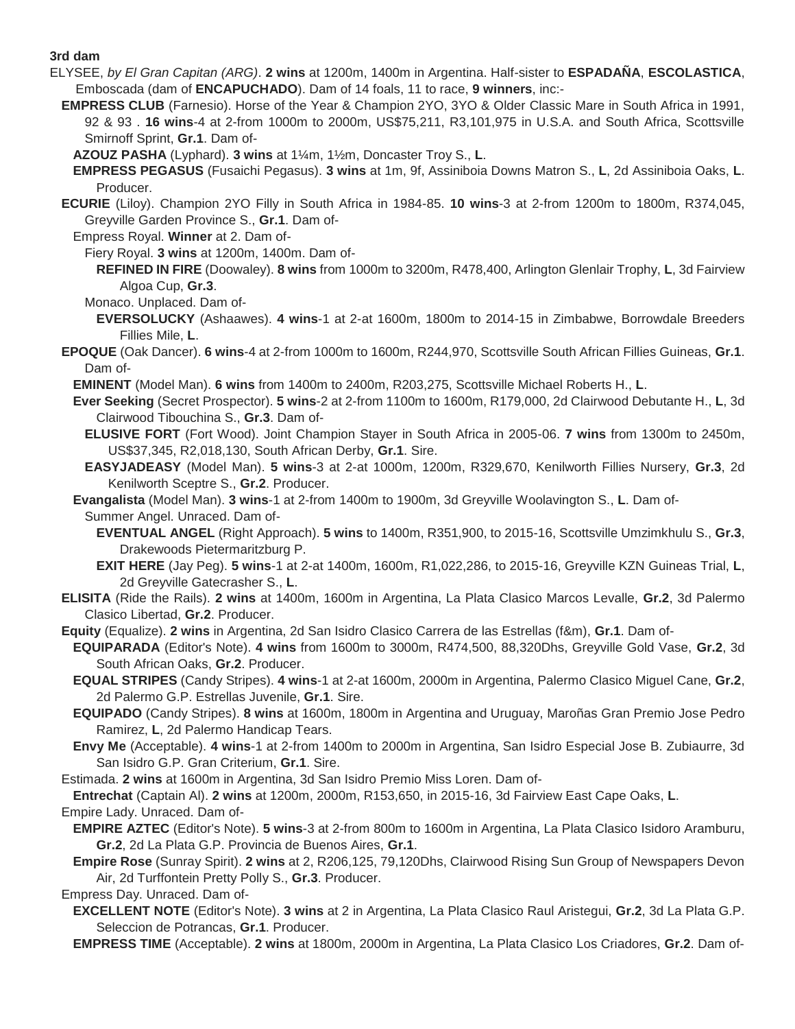### **3rd dam**

- ELYSEE, *by El Gran Capitan (ARG)*. **2 wins** at 1200m, 1400m in Argentina. Half-sister to **ESPADAÑA**, **ESCOLASTICA**, Emboscada (dam of **ENCAPUCHADO**). Dam of 14 foals, 11 to race, **9 winners**, inc:-
	- **EMPRESS CLUB** (Farnesio). Horse of the Year & Champion 2YO, 3YO & Older Classic Mare in South Africa in 1991, 92 & 93 . **16 wins**-4 at 2-from 1000m to 2000m, US\$75,211, R3,101,975 in U.S.A. and South Africa, Scottsville Smirnoff Sprint, **Gr.1**. Dam of-

**AZOUZ PASHA** (Lyphard). **3 wins** at 1¼m, 1½m, Doncaster Troy S., **L**.

- **EMPRESS PEGASUS** (Fusaichi Pegasus). **3 wins** at 1m, 9f, Assiniboia Downs Matron S., **L**, 2d Assiniboia Oaks, **L**. Producer.
- **ECURIE** (Liloy). Champion 2YO Filly in South Africa in 1984-85. **10 wins**-3 at 2-from 1200m to 1800m, R374,045, Greyville Garden Province S., **Gr.1**. Dam of-
	- Empress Royal. **Winner** at 2. Dam of-
		- Fiery Royal. **3 wins** at 1200m, 1400m. Dam of-
			- **REFINED IN FIRE** (Doowaley). **8 wins** from 1000m to 3200m, R478,400, Arlington Glenlair Trophy, **L**, 3d Fairview Algoa Cup, **Gr.3**.
		- Monaco. Unplaced. Dam of-
		- **EVERSOLUCKY** (Ashaawes). **4 wins**-1 at 2-at 1600m, 1800m to 2014-15 in Zimbabwe, Borrowdale Breeders Fillies Mile, **L**.
- **EPOQUE** (Oak Dancer). **6 wins**-4 at 2-from 1000m to 1600m, R244,970, Scottsville South African Fillies Guineas, **Gr.1**. Dam of-
	- **EMINENT** (Model Man). **6 wins** from 1400m to 2400m, R203,275, Scottsville Michael Roberts H., **L**.
	- **Ever Seeking** (Secret Prospector). **5 wins**-2 at 2-from 1100m to 1600m, R179,000, 2d Clairwood Debutante H., **L**, 3d Clairwood Tibouchina S., **Gr.3**. Dam of-
		- **ELUSIVE FORT** (Fort Wood). Joint Champion Stayer in South Africa in 2005-06. **7 wins** from 1300m to 2450m, US\$37,345, R2,018,130, South African Derby, **Gr.1**. Sire.
	- **EASYJADEASY** (Model Man). **5 wins**-3 at 2-at 1000m, 1200m, R329,670, Kenilworth Fillies Nursery, **Gr.3**, 2d Kenilworth Sceptre S., **Gr.2**. Producer.
	- **Evangalista** (Model Man). **3 wins**-1 at 2-from 1400m to 1900m, 3d Greyville Woolavington S., **L**. Dam of-Summer Angel. Unraced. Dam of-
		- **EVENTUAL ANGEL** (Right Approach). **5 wins** to 1400m, R351,900, to 2015-16, Scottsville Umzimkhulu S., **Gr.3**, Drakewoods Pietermaritzburg P.
		- **EXIT HERE** (Jay Peg). **5 wins**-1 at 2-at 1400m, 1600m, R1,022,286, to 2015-16, Greyville KZN Guineas Trial, **L**, 2d Greyville Gatecrasher S., **L**.
- **ELISITA** (Ride the Rails). **2 wins** at 1400m, 1600m in Argentina, La Plata Clasico Marcos Levalle, **Gr.2**, 3d Palermo Clasico Libertad, **Gr.2**. Producer.
- **Equity** (Equalize). **2 wins** in Argentina, 2d San Isidro Clasico Carrera de las Estrellas (f&m), **Gr.1**. Dam of-
- **EQUIPARADA** (Editor's Note). **4 wins** from 1600m to 3000m, R474,500, 88,320Dhs, Greyville Gold Vase, **Gr.2**, 3d South African Oaks, **Gr.2**. Producer.
- **EQUAL STRIPES** (Candy Stripes). **4 wins**-1 at 2-at 1600m, 2000m in Argentina, Palermo Clasico Miguel Cane, **Gr.2**, 2d Palermo G.P. Estrellas Juvenile, **Gr.1**. Sire.
- **EQUIPADO** (Candy Stripes). **8 wins** at 1600m, 1800m in Argentina and Uruguay, Maroñas Gran Premio Jose Pedro Ramirez, **L**, 2d Palermo Handicap Tears.
- **Envy Me** (Acceptable). **4 wins**-1 at 2-from 1400m to 2000m in Argentina, San Isidro Especial Jose B. Zubiaurre, 3d San Isidro G.P. Gran Criterium, **Gr.1**. Sire.

Estimada. **2 wins** at 1600m in Argentina, 3d San Isidro Premio Miss Loren. Dam of-

**Entrechat** (Captain Al). **2 wins** at 1200m, 2000m, R153,650, in 2015-16, 3d Fairview East Cape Oaks, **L**.

Empire Lady. Unraced. Dam of-

- **EMPIRE AZTEC** (Editor's Note). **5 wins**-3 at 2-from 800m to 1600m in Argentina, La Plata Clasico Isidoro Aramburu, **Gr.2**, 2d La Plata G.P. Provincia de Buenos Aires, **Gr.1**.
- **Empire Rose** (Sunray Spirit). **2 wins** at 2, R206,125, 79,120Dhs, Clairwood Rising Sun Group of Newspapers Devon Air, 2d Turffontein Pretty Polly S., **Gr.3**. Producer.

Empress Day. Unraced. Dam of-

- **EXCELLENT NOTE** (Editor's Note). **3 wins** at 2 in Argentina, La Plata Clasico Raul Aristegui, **Gr.2**, 3d La Plata G.P. Seleccion de Potrancas, **Gr.1**. Producer.
- **EMPRESS TIME** (Acceptable). **2 wins** at 1800m, 2000m in Argentina, La Plata Clasico Los Criadores, **Gr.2**. Dam of-